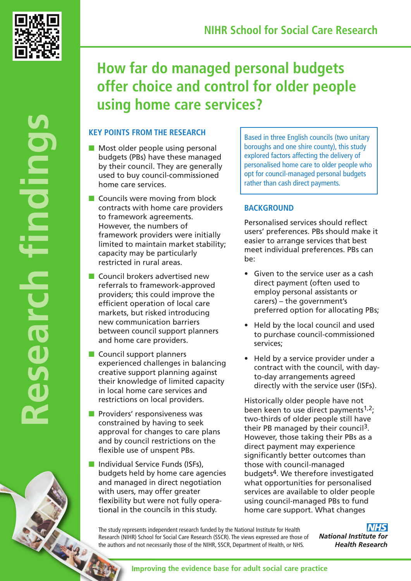

# **How far do managed personal budgets offer choice and control for older people using home care services?**

# **KEY POINTS FROM THE RESEARCH**

- $\blacksquare$  Most older people using personal budgets (PBs) have these managed by their council. They are generally used to buy council-commissioned home care services.
- $\blacksquare$  Councils were moving from block contracts with home care providers to framework agreements. However, the numbers of framework providers were initially limited to maintain market stability; capacity may be particularly restricted in rural areas.
- $\blacksquare$  Council brokers advertised new referrals to framework-approved providers; this could improve the efficient operation of local care markets, but risked introducing new communication barriers between council support planners and home care providers.
- $\blacksquare$  Council support planners experienced challenges in balancing creative support planning against their knowledge of limited capacity in local home care services and restrictions on local providers.
- $\blacksquare$  Providers' responsiveness was constrained by having to seek approval for changes to care plans and by council restrictions on the flexible use of unspent PBs.
- **n** Individual Service Funds (ISFs), budgets held by home care agencies and managed in direct negotiation with users, may offer greater flexibility but were not fully operational in the councils in this study.

Based in three English councils (two unitary boroughs and one shire county), this study explored factors affecting the delivery of personalised home care to older people who opt for council-managed personal budgets rather than cash direct payments.

# **BACKGROUND**

Personalised services should reflect users' preferences. PBs should make it easier to arrange services that best meet individual preferences. PBs can be:

- Given to the service user as a cash direct payment (often used to employ personal assistants or carers) – the government's preferred option for allocating PBs;
- Held by the local council and used to purchase council-commissioned services;
- Held by a service provider under a contract with the council, with dayto-day arrangements agreed directly with the service user (ISFs).

Historically older people have not been keen to use direct payments $1,2$ ; two-thirds of older people still have their PB managed by their council3. However, those taking their PBs as a direct payment may experience significantly better outcomes than those with council-managed budgets4. We therefore investigated what opportunities for personalised services are available to older people using council-managed PBs to fund home care support. What changes

The study represents independent research funded by the National Institute for Health Research (NIHR) School for Social Care Research (SSCR). The views expressed are those of the authors and not necessarily those of the NIHR, SSCR, Department of Health, or NHS.

**NHS National Institute for Health Research**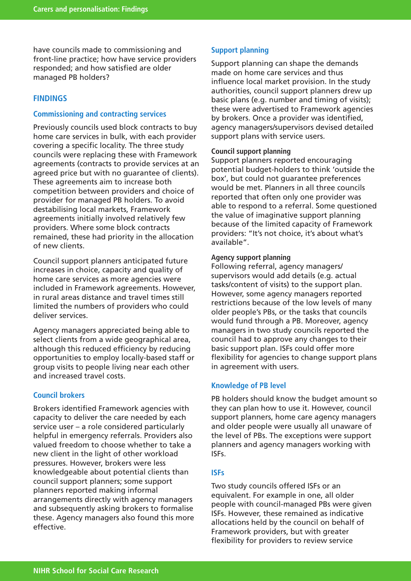have councils made to commissioning and front-line practice; how have service providers responded; and how satisfied are older managed PB holders?

# **FINDINGS**

# **Commissioning and contracting services**

Previously councils used block contracts to buy home care services in bulk, with each provider covering a specific locality. The three study councils were replacing these with Framework agreements (contracts to provide services at an agreed price but with no guarantee of clients). These agreements aim to increase both competition between providers and choice of provider for managed PB holders. To avoid destabilising local markets, Framework agreements initially involved relatively few providers. Where some block contracts remained, these had priority in the allocation of new clients.

Council support planners anticipated future increases in choice, capacity and quality of home care services as more agencies were included in Framework agreements. However, in rural areas distance and travel times still limited the numbers of providers who could deliver services.

Agency managers appreciated being able to select clients from a wide geographical area, although this reduced efficiency by reducing opportunities to employ locally-based staff or group visits to people living near each other and increased travel costs.

# **Council brokers**

Brokers identified Framework agencies with capacity to deliver the care needed by each service user – a role considered particularly helpful in emergency referrals. Providers also valued freedom to choose whether to take a new client in the light of other workload pressures. However, brokers were less knowledgeable about potential clients than council support planners; some support planners reported making informal arrangements directly with agency managers and subsequently asking brokers to formalise these. Agency managers also found this more effective.

# **Support planning**

Support planning can shape the demands made on home care services and thus influence local market provision. In the study authorities, council support planners drew up basic plans (e.g. number and timing of visits); these were advertised to Framework agencies by brokers. Once a provider was identified, agency managers/supervisors devised detailed support plans with service users.

#### **Council support planning**

Support planners reported encouraging potential budget-holders to think 'outside the box', but could not guarantee preferences would be met. Planners in all three councils reported that often only one provider was able to respond to a referral. Some questioned the value of imaginative support planning because of the limited capacity of Framework providers: "It's not choice, it's about what's available".

#### **Agency support planning**

Following referral, agency managers/ supervisors would add details (e.g. actual tasks/content of visits) to the support plan. However, some agency managers reported restrictions because of the low levels of many older people's PBs, or the tasks that councils would fund through a PB. Moreover, agency managers in two study councils reported the council had to approve any changes to their basic support plan. ISFs could offer more flexibility for agencies to change support plans in agreement with users.

#### **Knowledge of PB level**

PB holders should know the budget amount so they can plan how to use it. However, council support planners, home care agency managers and older people were usually all unaware of the level of PBs. The exceptions were support planners and agency managers working with ISFs.

#### **ISFs**

Two study councils offered ISFs or an equivalent. For example in one, all older people with council-managed PBs were given ISFs. However, these remained as indicative allocations held by the council on behalf of Framework providers, but with greater flexibility for providers to review service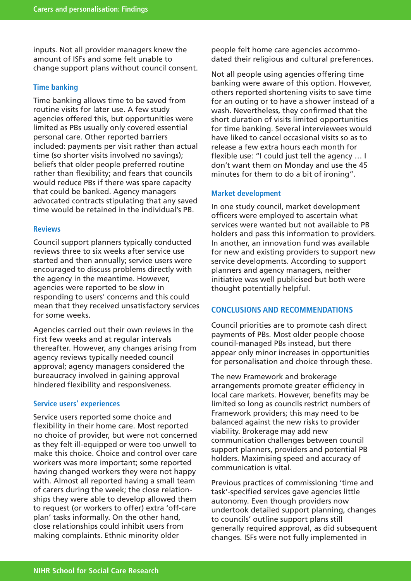inputs. Not all provider managers knew the amount of ISFs and some felt unable to change support plans without council consent.

## **Time banking**

Time banking allows time to be saved from routine visits for later use. A few study agencies offered this, but opportunities were limited as PBs usually only covered essential personal care. Other reported barriers included: payments per visit rather than actual time (so shorter visits involved no savings); beliefs that older people preferred routine rather than flexibility; and fears that councils would reduce PBs if there was spare capacity that could be banked. Agency managers advocated contracts stipulating that any saved time would be retained in the individual's PB.

#### **Reviews**

Council support planners typically conducted reviews three to six weeks after service use started and then annually; service users were encouraged to discuss problems directly with the agency in the meantime. However, agencies were reported to be slow in responding to users' concerns and this could mean that they received unsatisfactory services for some weeks.

Agencies carried out their own reviews in the first few weeks and at regular intervals thereafter. However, any changes arising from agency reviews typically needed council approval; agency managers considered the bureaucracy involved in gaining approval hindered flexibility and responsiveness.

#### **Service users' experiences**

Service users reported some choice and flexibility in their home care. Most reported no choice of provider, but were not concerned as they felt ill-equipped or were too unwell to make this choice. Choice and control over care workers was more important; some reported having changed workers they were not happy with. Almost all reported having a small team of carers during the week; the close relationships they were able to develop allowed them to request (or workers to offer) extra 'off-care plan' tasks informally. On the other hand, close relationships could inhibit users from making complaints. Ethnic minority older

people felt home care agencies accommodated their religious and cultural preferences.

Not all people using agencies offering time banking were aware of this option. However, others reported shortening visits to save time for an outing or to have a shower instead of a wash. Nevertheless, they confirmed that the short duration of visits limited opportunities for time banking. Several interviewees would have liked to cancel occasional visits so as to release a few extra hours each month for flexible use: "I could just tell the agency … I don't want them on Monday and use the 45 minutes for them to do a bit of ironing".

#### **Market development**

In one study council, market development officers were employed to ascertain what services were wanted but not available to PB holders and pass this information to providers. In another, an innovation fund was available for new and existing providers to support new service developments. According to support planners and agency managers, neither initiative was well publicised but both were thought potentially helpful.

#### **CONCLUSIONS AND RECOMMENDATIONS**

Council priorities are to promote cash direct payments of PBs. Most older people choose council-managed PBs instead, but there appear only minor increases in opportunities for personalisation and choice through these.

The new Framework and brokerage arrangements promote greater efficiency in local care markets. However, benefits may be limited so long as councils restrict numbers of Framework providers; this may need to be balanced against the new risks to provider viability. Brokerage may add new communication challenges between council support planners, providers and potential PB holders. Maximising speed and accuracy of communication is vital.

Previous practices of commissioning 'time and task'-specified services gave agencies little autonomy. Even though providers now undertook detailed support planning, changes to councils' outline support plans still generally required approval, as did subsequent changes. ISFs were not fully implemented in